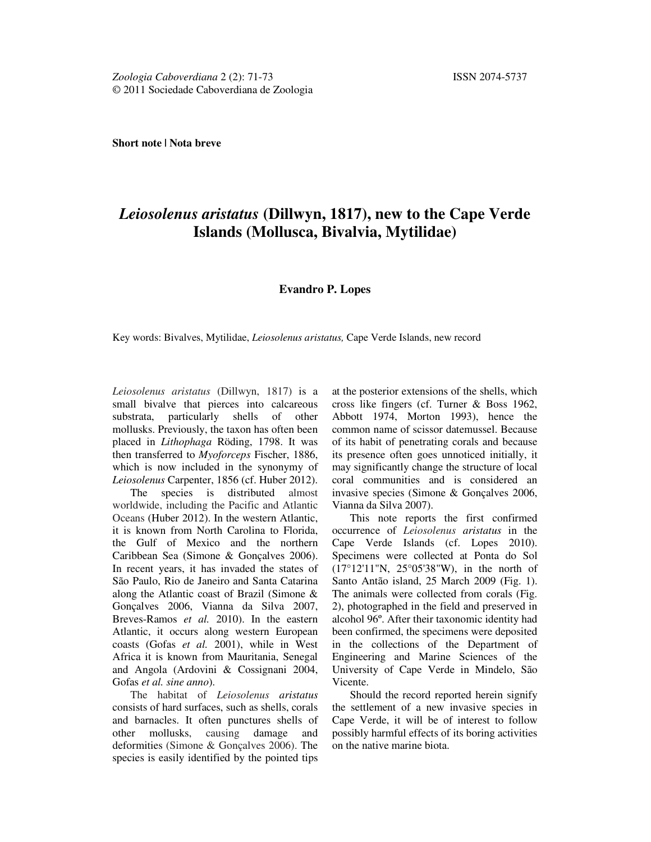**Short note | Nota breve**

## *Leiosolenus aristatus* **(Dillwyn, 1817), new to the Cape Verde Islands (Mollusca, Bivalvia, Mytilidae)**

## **Evandro P. Lopes**

Key words: Bivalves, Mytilidae, *Leiosolenus aristatus,* Cape Verde Islands, new record

*Leiosolenus aristatus* (Dillwyn, 1817) is a small bivalve that pierces into calcareous substrata, particularly shells of other mollusks. Previously, the taxon has often been placed in *Lithophaga* Röding, 1798. It was then transferred to *Myoforceps* Fischer, 1886, which is now included in the synonymy of *Leiosolenus* Carpenter, 1856 (cf. Huber 2012).

The species is distributed almost worldwide, including the Pacific and Atlantic Oceans (Huber 2012). In the western Atlantic, it is known from North Carolina to Florida, the Gulf of Mexico and the northern Caribbean Sea (Simone & Gonçalves 2006). In recent years, it has invaded the states of São Paulo, Rio de Janeiro and Santa Catarina along the Atlantic coast of Brazil (Simone & Gonçalves 2006, Vianna da Silva 2007, Breves-Ramos *et al.* 2010). In the eastern Atlantic, it occurs along western European coasts (Gofas *et al.* 2001), while in West Africa it is known from Mauritania, Senegal and Angola (Ardovini & Cossignani 2004, Gofas *et al. sine anno*).

The habitat of *Leiosolenus aristatus* consists of hard surfaces, such as shells, corals and barnacles. It often punctures shells of other mollusks, causing damage and deformities (Simone & Gonçalves 2006). The species is easily identified by the pointed tips at the posterior extensions of the shells, which cross like fingers (cf. Turner & Boss 1962, Abbott 1974, Morton 1993), hence the common name of scissor datemussel. Because of its habit of penetrating corals and because its presence often goes unnoticed initially, it may significantly change the structure of local coral communities and is considered an invasive species (Simone & Gonçalves 2006, Vianna da Silva 2007).

This note reports the first confirmed occurrence of *Leiosolenus aristatus* in the Cape Verde Islands (cf. Lopes 2010). Specimens were collected at Ponta do Sol (17°12'11"N, 25°05'38"W), in the north of Santo Antão island, 25 March 2009 (Fig. 1). The animals were collected from corals (Fig. 2), photographed in the field and preserved in alcohol 96º. After their taxonomic identity had been confirmed, the specimens were deposited in the collections of the Department of Engineering and Marine Sciences of the University of Cape Verde in Mindelo, São Vicente.

Should the record reported herein signify the settlement of a new invasive species in Cape Verde, it will be of interest to follow possibly harmful effects of its boring activities on the native marine biota.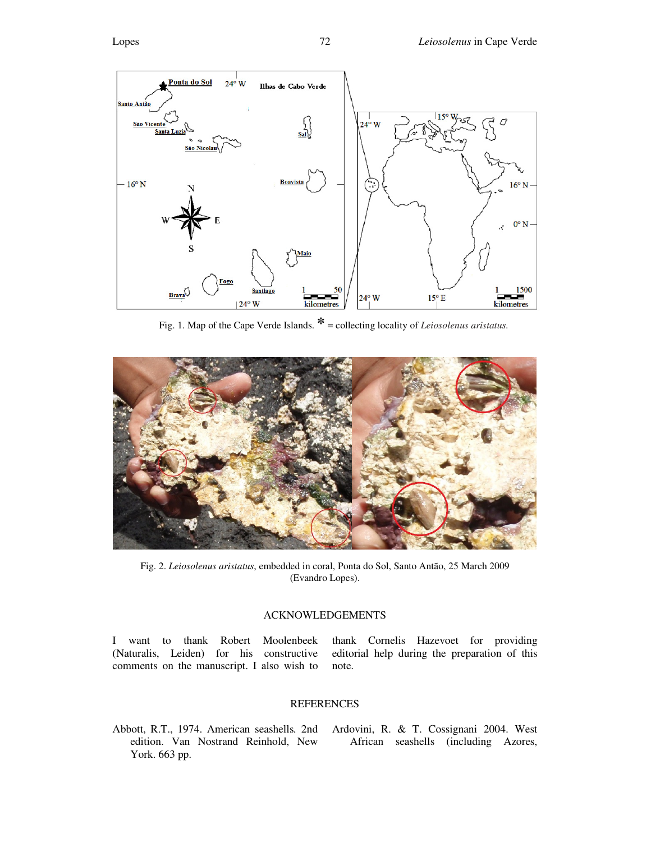

Fig. 1. Map of the Cape Verde Islands. **\*** = collecting locality of *Leiosolenus aristatus.*



Fig. 2. *Leiosolenus aristatus*, embedded in coral, Ponta do Sol, Santo Antão, 25 March 2009 (Evandro Lopes).

## ACKNOWLEDGEMENTS

I want to thank Robert Moolenbeek (Naturalis, Leiden) for his constructive comments on the manuscript. I also wish to

thank Cornelis Hazevoet for providing editorial help during the preparation of this note.

## **REFERENCES**

Abbott, R.T., 1974. American seashells*.* 2nd edition. Van Nostrand Reinhold, New York. 663 pp.

Ardovini, R. & T. Cossignani 2004. West African seashells (including Azores,